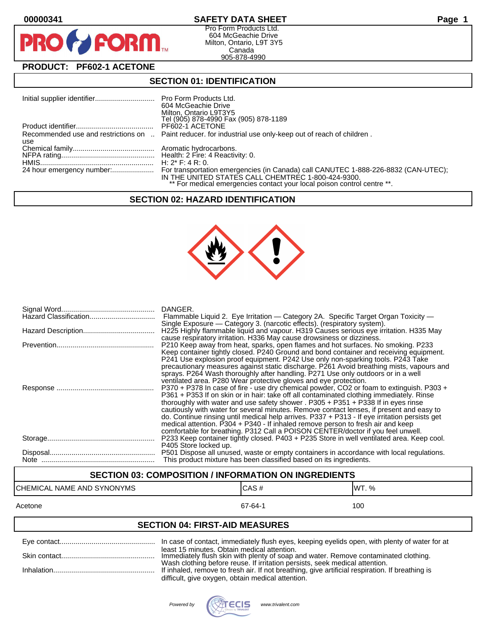PF

# **00000341 SAFETY DATA SHEET Page 1**

Pro Form Products Ltd. 604 McGeachie Drive Milton, Ontario, L9T 3Y5 Canada 905-878-4990

# **PRODUCT: PF602-1 ACETONE**

**FORM** 

# **SECTION 01: IDENTIFICATION**

|     | 604 McGeachie Drive<br>Milton, Ontario L9T3Y5<br>Tel (905) 878-4990 Fax (905) 878-1189                                        |
|-----|-------------------------------------------------------------------------------------------------------------------------------|
|     | PF602-1 ACETONE                                                                                                               |
| use | Recommended use and restrictions on  Paint reducer, for industrial use only-keep out of reach of children.                    |
|     |                                                                                                                               |
|     |                                                                                                                               |
|     |                                                                                                                               |
|     | IN THE UNITED STATES CALL CHEMTREC 1-800-424-9300.<br>** For medical emergencies contact your local poison control centre **. |

## **SECTION 02: HAZARD IDENTIFICATION**



| DANGER.<br>Flammable Liquid 2. Eye Irritation — Category 2A. Specific Target Organ Toxicity —<br>Single Exposure — Category 3. (narcotic effects). (respiratory system).                                                                                                                                                                                                                                                                                                                                                                                                                                                                                                                                           |
|--------------------------------------------------------------------------------------------------------------------------------------------------------------------------------------------------------------------------------------------------------------------------------------------------------------------------------------------------------------------------------------------------------------------------------------------------------------------------------------------------------------------------------------------------------------------------------------------------------------------------------------------------------------------------------------------------------------------|
| H225 Highly flammable liquid and vapour. H319 Causes serious eye irritation. H335 May<br>cause respiratory irritation. H336 May cause drowsiness or dizziness.                                                                                                                                                                                                                                                                                                                                                                                                                                                                                                                                                     |
| P210 Keep away from heat, sparks, open flames and hot surfaces. No smoking. P233<br>Keep container tightly closed. P240 Ground and bond container and receiving equipment.<br>P241 Use explosion proof equipment. P242 Use only non-sparking tools. P243 Take<br>precautionary measures against static discharge. P261 Avoid breathing mists, vapours and<br>sprays. P264 Wash thoroughly after handling. P271 Use only outdoors or in a well                                                                                                                                                                                                                                                                      |
| ventilated area. P280 Wear protective gloves and eye protection.<br>P370 + P378 In case of fire - use dry chemical powder, CO2 or foam to extinguish. P303 +<br>P361 + P353 If on skin or in hair: take off all contaminated clothing immediately. Rinse<br>thoroughly with water and use safety shower . $P305 + P351 + P338$ If in eyes rinse<br>cautiously with water for several minutes. Remove contact lenses, if present and easy to<br>do. Continue rinsing until medical help arrives. P337 + P313 - If eye irritation persists get<br>medical attention. P304 + P340 - If inhaled remove person to fresh air and keep<br>comfortable for breathing. P312 Call a POISON CENTER/doctor if you feel unwell. |
| P233 Keep container tightly closed. P403 + P235 Store in well ventilated area. Keep cool.<br>P405 Store locked up.                                                                                                                                                                                                                                                                                                                                                                                                                                                                                                                                                                                                 |
| P501 Dispose all unused, waste or empty containers in accordance with local regulations.<br>This product mixture has been classified based on its ingredients.                                                                                                                                                                                                                                                                                                                                                                                                                                                                                                                                                     |

# **SECTION 03: COMPOSITION / INFORMATION ON INGREDIENTS**

# CHEMICAL NAME AND SYNONYMS CAS # CAS # WT. %

#### Acetone 67-64-1 100

# **SECTION 04: FIRST-AID MEASURES**

| least 15 minutes. Obtain medical attention.<br>Immediately flush skin with plenty of soap and water. Remove contaminated clothing.                                             |
|--------------------------------------------------------------------------------------------------------------------------------------------------------------------------------|
| Wash clothing before reuse. If irritation persists, seek medical attention.<br>If inhaled, remove to fresh air. If not breathing, give artificial respiration. If breathing is |
| difficult, give oxygen, obtain medical attention.                                                                                                                              |

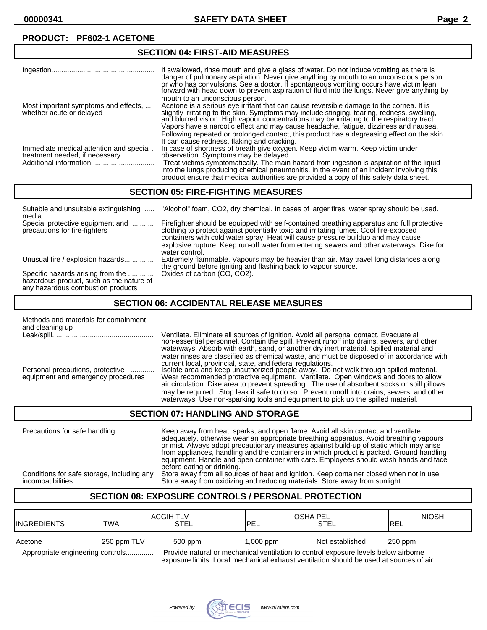#### Ingestion.................................................... If swallowed, rinse mouth and give a glass of water. Do not induce vomiting as there is danger of pulmonary aspiration. Never give anything by mouth to an unconscious person or who has convulsions. See a doctor. If spontaneous vomiting occurs have victim lean forward with head down to prevent aspiration of fluid into the lŭngs. Never give anything by mouth to an unconscious person. Most important symptoms and effects, ..... Acetone is a serious eye irritant that can cause reversible damage to the cornea. It is whether acute or delayed slightly irritating to the skin. Symptoms may include stinging, tearing, redness, swelling, and blurred vision. High vapour concentrations may be irritating to the respiratory tract. Vapors have a narcotic effect and may cause headache, fatigue, dizziness and nausea. Following repeated or prolonged contact, this product has a degreasing effect on the skin. It can cause redness, flaking and cracking. Immediate medical attention and special . In case of shortness of breath give oxygen. Keep victim warm. Keep victim under<br>treatment needed, if necessary observation. Symptoms may be delayed. treatment needed, if necessary observation. Symptoms may be delayed. Treat victims symptomatically. The main hazard from ingestion is aspiration of the liquid into the lungs producing chemical pneumonitis. In the event of an incident involving this product ensure that medical authorities are provided a copy of this safety data sheet.

## **SECTION 05: FIRE-FIGHTING MEASURES**

**SECTION 04: FIRST-AID MEASURES**

| Suitable and unsuitable extinguishing<br>media                                                                     | "Alcohol" foam, CO2, dry chemical. In cases of larger fires, water spray should be used.                                                                                                                                                                                                                                                                                              |
|--------------------------------------------------------------------------------------------------------------------|---------------------------------------------------------------------------------------------------------------------------------------------------------------------------------------------------------------------------------------------------------------------------------------------------------------------------------------------------------------------------------------|
| Special protective equipment and<br>precautions for fire-fighters                                                  | Firefighter should be equipped with self-contained breathing apparatus and full protective<br>clothing to protect against potentially toxic and irritating fumes. Cool fire-exposed<br>containers with cold water spray. Heat will cause pressure buildup and may cause<br>explosive rupture. Keep run-off water from entering sewers and other waterways. Dike for<br>water control. |
| Unusual fire / explosion hazards                                                                                   | Extremely flammable. Vapours may be heavier than air. May travel long distances along<br>the ground before igniting and flashing back to vapour source.                                                                                                                                                                                                                               |
| Specific hazards arising from the<br>hazardous product, such as the nature of<br>any hazardous combustion products | Oxides of carbon (CO, CO2).                                                                                                                                                                                                                                                                                                                                                           |

## **SECTION 06: ACCIDENTAL RELEASE MEASURES**

| Methods and materials for containment<br>and cleaning up |                                                                                                                                                                                                                                                                                                                                                                     |
|----------------------------------------------------------|---------------------------------------------------------------------------------------------------------------------------------------------------------------------------------------------------------------------------------------------------------------------------------------------------------------------------------------------------------------------|
|                                                          | Ventilate. Eliminate all sources of ignition. Avoid all personal contact. Evacuate all non-essential personnel. Contain the spill. Prevent runoff into drains, sewers, and other<br>waterways. Absorb with earth, sand, or another dry inert material. Spilled material and                                                                                         |
| Personal precautions, protective                         | water rinses are classified as chemical waste, and must be disposed of in accordance with<br>current local, provincial, state, and federal regulations.<br>Isolate area and keep unauthorized people away. Do not walk through spilled material.                                                                                                                    |
| equipment and emergency procedures                       | Wear recommended protective equipment. Ventilate. Open windows and doors to allow<br>air circulation. Dike area to prevent spreading. The use of absorbent socks or spill pillows<br>may be required. Stop leak if safe to do so. Prevent runoff into drains, sewers, and other<br>waterways. Use non-sparking tools and equipment to pick up the spilled material. |

#### **SECTION 07: HANDLING AND STORAGE**

Precautions for safe handling.................... Keep away from heat, sparks, and open flame. Avoid all skin contact and ventilate adequately, otherwise wear an appropriate breathing apparatus. Avoid breathing vapours or mist. Always adopt precautionary measures against build-up of static which may arise from appliances, handling and the containers in which product is packed. Ground handling equipment. Handle and open container with care. Employees should wash hands and face before eating or drinking. Conditions for safe storage, including any Store away from all sources of heat and ignition. Keep container closed when not in use. Store away from oxidizing and reducing materials. Store away from sunlight.

# **SECTION 08: EXPOSURE CONTROLS / PERSONAL PROTECTION**

| <b>I</b> INGREDIENTS                                                                                                    | <b>TWA</b>  | <b>ACGIH TLV</b><br>STEL | OSHA PEL<br><b>IPEL</b> | STEL            | <b>NIOSH</b><br><b>IREL</b> |
|-------------------------------------------------------------------------------------------------------------------------|-------------|--------------------------|-------------------------|-----------------|-----------------------------|
| Acetone                                                                                                                 | 250 ppm TLV | 500 ppm                  | $1,000$ ppm             | Not established | 250 ppm                     |
| Provide natural or mechanical ventilation to control exposure levels below airborne<br>Appropriate engineering controls |             |                          |                         |                 |                             |

exposure limits. Local mechanical exhaust ventilation should be used at sources of air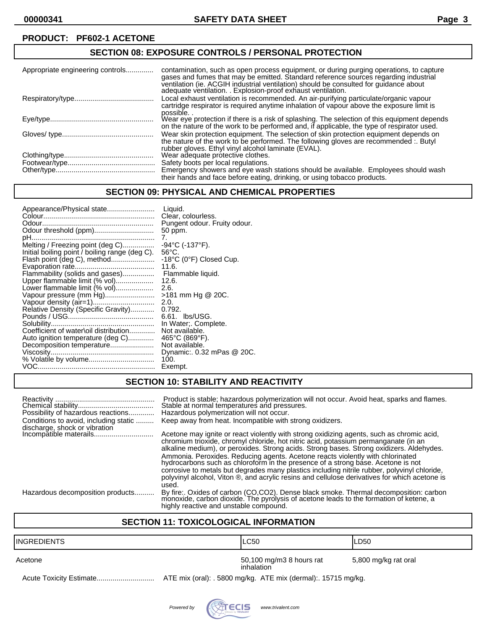# **SECTION 08: EXPOSURE CONTROLS / PERSONAL PROTECTION**

| Appropriate engineering controls | contamination, such as open process equipment, or during purging operations, to capture<br>gases and fumes that may be emitted. Standard reference sources regarding industrial<br>ventilation (ie. ACGIH industrial ventilation) should be consulted for guidance about<br>adequate ventilation. . Explosion-proof exhaust ventilation. |
|----------------------------------|------------------------------------------------------------------------------------------------------------------------------------------------------------------------------------------------------------------------------------------------------------------------------------------------------------------------------------------|
|                                  | Local exhaust ventilation is recommended. An air-purifying particulate/organic vapour<br>cartridge respirator is required anytime inhalation of vapour above the exposure limit is<br>possible                                                                                                                                           |
|                                  | Wear eye protection if there is a risk of splashing. The selection of this equipment depends<br>on the nature of the work to be performed and, if applicable, the type of respirator used.                                                                                                                                               |
|                                  | Wear skin protection equipment. The selection of skin protection equipment depends on<br>the nature of the work to be performed. The following gloves are recommended :. Butyl<br>rubber gloves. Ethyl vinyl alcohol laminate (EVAL).                                                                                                    |
|                                  | Wear adequate protective clothes.                                                                                                                                                                                                                                                                                                        |
|                                  | Safety boots per local regulations.                                                                                                                                                                                                                                                                                                      |
|                                  | Emergency showers and eye wash stations should be available. Employees should wash<br>their hands and face before eating, drinking, or using tobacco products.                                                                                                                                                                           |

# **SECTION 09: PHYSICAL AND CHEMICAL PROPERTIES**

| Appearance/Physical state                      | Liquid.<br>Clear, colourless. |
|------------------------------------------------|-------------------------------|
|                                                | Pungent odour. Fruity odour.  |
|                                                | 50 ppm.                       |
|                                                | 7.                            |
| Melting / Freezing point (deg C)               | $-94$ °C (-137°F).            |
| Initial boiling point / boiling range (deg C). | $56^{\circ}$ C.               |
| Flash point (deg C), method                    | -18°C (0°F) Closed Cup.       |
|                                                | 11.6.                         |
| Flammability (solids and gases)                | Flammable liquid.             |
| Upper flammable limit (% vol)                  | 12.6.                         |
| Lower flammable limit (% vol)                  | 2.6.                          |
| Vapour pressure (mm Hg)                        | >181 mm Hg @ 20C.             |
| Vapour density (air=1)                         | 2.0.                          |
| Relative Density (Specific Gravity)            | 0.792.                        |
|                                                | 6.61. lbs/USG.                |
|                                                | In Water:. Complete.          |
| Coefficient of water\oil distribution          | Not available.                |
| Auto ignition temperature (deg C)              | 465°C (869°F).                |
| Decomposition temperature                      | Not available.                |
|                                                | Dynamic: 0.32 mPas @ 20C.     |
|                                                | 100.                          |
|                                                | Exempt.                       |
|                                                |                               |

# **SECTION 10: STABILITY AND REACTIVITY**

| Possibility of hazardous reactions<br>Conditions to avoid, including static | Product is stable; hazardous polymerization will not occur. Avoid heat, sparks and flames.<br>Stable at normal temperatures and pressures.<br>Hazardous polymerization will not occur.<br>Keep away from heat. Incompatible with strong oxidizers.                                                                                                                           |
|-----------------------------------------------------------------------------|------------------------------------------------------------------------------------------------------------------------------------------------------------------------------------------------------------------------------------------------------------------------------------------------------------------------------------------------------------------------------|
| discharge, shock or vibration<br>Incompătible materails                     | Acetone may ignite or react violently with strong oxidizing agents, such as chromic acid,<br>chromium trioxide, chromyl chloride, hot nitric acid, potassium permanganate (in an<br>alkaline medium), or peroxides. Strong acids. Strong bases. Strong oxidizers. Aldehydes.                                                                                                 |
|                                                                             | Ammonia. Peroxides. Reducing agents. Acetone reacts violently with chlorinated<br>hydrocarbons such as chloroform in the presence of a strong base. Acetone is not<br>corrosive to metals but degrades many plastics including nitrile rubber, polyvinyl chloride,<br>polyvinyl alcohol. Viton ®, and acrylic resins and cellulose derivatives for which acetone is<br>used. |
| Hazardous decomposition products                                            | By fire:. Oxides of carbon (CO,CO2). Dense black smoke. Thermal decomposition: carbon monoxide, carbon dioxide. The pyrolysis of acetone leads to the formation of ketene, a<br>highly reactive and unstable compound.                                                                                                                                                       |

# **SECTION 11: TOXICOLOGICAL INFORMATION**

| IINGREDIENTS | LC50                                                           | ILD50                |
|--------------|----------------------------------------------------------------|----------------------|
| Acetone      | 50,100 mg/m3 8 hours rat<br>inhalation                         | 5,800 mg/kg rat oral |
|              | ATE mix (oral): . 5800 mg/kg. ATE mix (dermal): . 15715 mg/kg. |                      |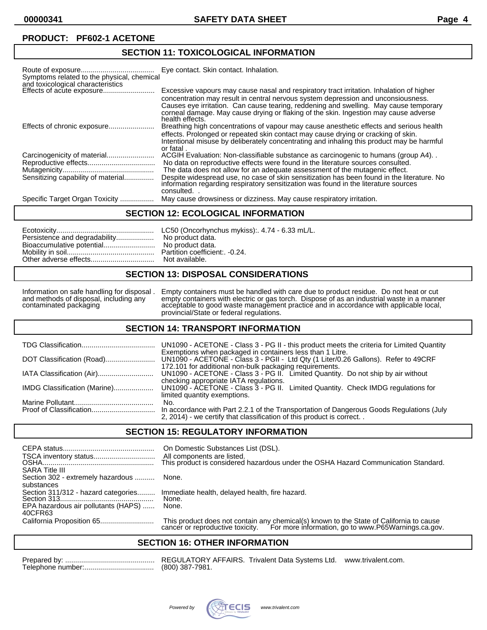# **SECTION 11: TOXICOLOGICAL INFORMATION**

| Symptoms related to the physical, chemical<br>and toxicological characteristics | Eye contact. Skin contact. Inhalation.                                                                                                                                                                                                                                                                                                                                            |
|---------------------------------------------------------------------------------|-----------------------------------------------------------------------------------------------------------------------------------------------------------------------------------------------------------------------------------------------------------------------------------------------------------------------------------------------------------------------------------|
| Effects of acute exposure                                                       | Excessive vapours may cause nasal and respiratory tract irritation. Inhalation of higher<br>concentration may result in central nervous system depression and unconsiousness.<br>Causes eye irritation. Can cause tearing, reddening and swelling. May cause temporary<br>corneal damage. May cause drying or flaking of the skin. Ingestion may cause adverse<br>health effects. |
|                                                                                 | Breathing high concentrations of vapour may cause anesthetic effects and serious health<br>effects. Prolonged or repeated skin contact may cause drying or cracking of skin.<br>Intentional misuse by deliberately concentrating and inhaling this product may be harmful<br>or fatal.                                                                                            |
|                                                                                 | ACGIH Evaluation: Non-classifiable substance as carcinogenic to humans (group A4).                                                                                                                                                                                                                                                                                                |
|                                                                                 | No data on reproductive effects were found in the literature sources consulted.                                                                                                                                                                                                                                                                                                   |
|                                                                                 | The data does not allow for an adequate assessment of the mutagenic effect.                                                                                                                                                                                                                                                                                                       |
| Sensitizing capability of material                                              | Despite widespread use, no case of skin sensitization has been found in the literature. No<br>information regarding respiratory sensitization was found in the literature sources<br>consulted.                                                                                                                                                                                   |
| Specific Target Organ Toxicity                                                  | May cause drowsiness or dizziness. May cause respiratory irritation.                                                                                                                                                                                                                                                                                                              |

## **SECTION 12: ECOLOGICAL INFORMATION**

| Persistence and degradability No product data. |  |
|------------------------------------------------|--|
|------------------------------------------------|--|

## **SECTION 13: DISPOSAL CONSIDERATIONS**

Information on safe handling for disposal . Empty containers must be handled with care due to product residue. Do not heat or cut and methods of disposal, including any empty containers with electric or gas torch. Dispose and methods of disposal, including any empty containers with electric or gas torch. Dispose of as an industrial waste in a manner contaminated packaging acceptable to good waste management practice and in accordance with applicable local, provincial/State or federal regulations.

#### **SECTION 14: TRANSPORT INFORMATION**

|                              | UN1090 - ACETONE - Class 3 - PG II - this product meets the criteria for Limited Quantity                                                                                                                  |
|------------------------------|------------------------------------------------------------------------------------------------------------------------------------------------------------------------------------------------------------|
| DOT Classification (Road)    | Exemptions when packaged in containers less than 1 Litre.<br>UN1090 - ACETONE - Class 3 - PGII - Ltd Qty (1 Liter/0.26 Gallons). Refer to 49CRF<br>172.101 for additional non-bulk packaging requirements. |
|                              | UN1090 - ACETONE - Class 3 - PG II. Limited Quantity. Do not ship by air without<br>checking appropriate IATA regulations.                                                                                 |
| IMDG Classification (Marine) | UN1090 - ACETONE - Class 3 - PG II. Limited Quantity. Check IMDG regulations for<br>limited quantity exemptions.                                                                                           |
|                              | No.                                                                                                                                                                                                        |
|                              | In accordance with Part 2.2.1 of the Transportation of Dangerous Goods Regulations (July<br>2, 2014) - we certify that classification of this product is correct                                           |

# **SECTION 15: REGULATORY INFORMATION**

| <b>SARA Title III</b>                          | On Domestic Substances List (DSL).<br>All components are listed.<br>This product is considered hazardous under the OSHA Hazard Communication Standard.                       |
|------------------------------------------------|------------------------------------------------------------------------------------------------------------------------------------------------------------------------------|
| Section 302 - extremely hazardous              | None.                                                                                                                                                                        |
| substances                                     |                                                                                                                                                                              |
| Section 311/312 - hazard categories            | Immediate health, delayed health, fire hazard.                                                                                                                               |
|                                                | None.                                                                                                                                                                        |
| EPA hazardous air pollutants (HAPS)<br>40CFR63 | None.                                                                                                                                                                        |
| California Proposition 65                      | This product does not contain any chemical(s) known to the State of California to cause cancer or reproductive toxicity. For more information, go to www.P65Warnings.ca.gov. |

# **SECTION 16: OTHER INFORMATION**

REGULATORY AFFAIRS. Trivalent Data Systems Ltd. www.trivalent.com. (800) 387-7981.